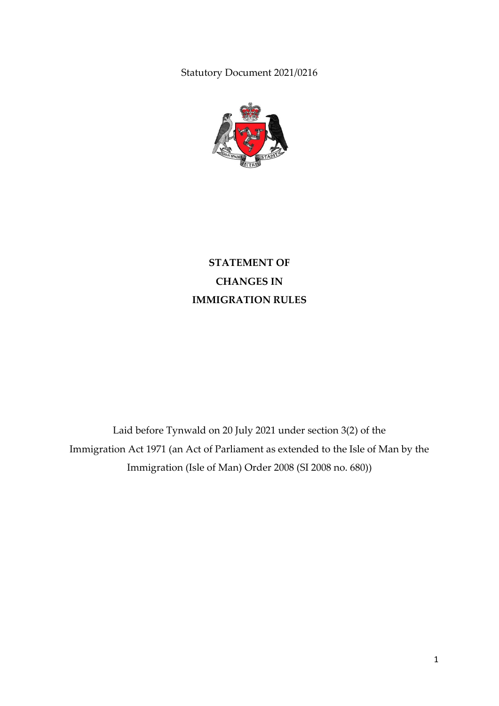Statutory Document 2021/0216



**STATEMENT OF CHANGES IN IMMIGRATION RULES**

Laid before Tynwald on 20 July 2021 under section 3(2) of the Immigration Act 1971 (an Act of Parliament as extended to the Isle of Man by the Immigration (Isle of Man) Order 2008 (SI 2008 no. 680))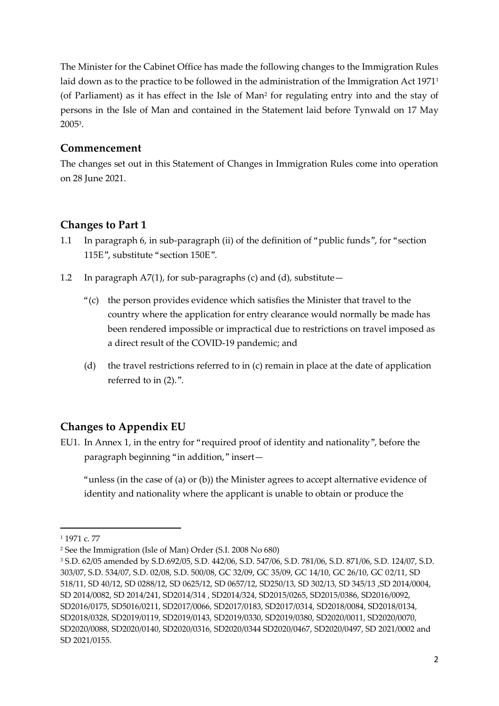The Minister for the Cabinet Office has made the following changes to the Immigration Rules laid down as to the practice to be followed in the administration of the Immigration Act 1971<sup>1</sup> (of Parliament) as it has effect in the Isle of Man<sup>2</sup> for regulating entry into and the stay of persons in the Isle of Man and contained in the Statement laid before Tynwald on 17 May 2005<sup>3</sup> .

### **Commencement**

The changes set out in this Statement of Changes in Immigration Rules come into operation on 28 June 2021.

### **Changes to Part 1**

- 1.1 In paragraph 6, in sub-paragraph (ii) of the definition of "public funds", for "section 115E", substitute "section 150E".
- 1.2 In paragraph A7(1), for sub-paragraphs (c) and (d), substitute—
	- "(c) the person provides evidence which satisfies the Minister that travel to the country where the application for entry clearance would normally be made has been rendered impossible or impractical due to restrictions on travel imposed as a direct result of the COVID-19 pandemic; and
	- (d) the travel restrictions referred to in (c) remain in place at the date of application referred to in (2).".

### **Changes to Appendix EU**

EU1. In Annex 1, in the entry for "required proof of identity and nationality", before the paragraph beginning "in addition," insert—

"unless (in the case of (a) or (b)) the Minister agrees to accept alternative evidence of identity and nationality where the applicant is unable to obtain or produce the

**.** 

<sup>1</sup> 1971 c. 77

<sup>2</sup> See the Immigration (Isle of Man) Order (S.I. 2008 No 680)

<sup>3</sup> S.D. 62/05 amended by S.D.692/05, S.D. 442/06, S.D. 547/06, S.D. 781/06, S.D. 871/06, S.D. 124/07, S.D. 303/07, S.D. 534/07, S.D. 02/08, S.D. 500/08, GC 32/09, GC 35/09, GC 14/10, GC 26/10, GC 02/11, SD 518/11, SD 40/12, SD 0288/12, SD 0625/12, SD 0657/12, SD250/13, SD 302/13, SD 345/13 ,SD 2014/0004, SD 2014/0082, SD 2014/241, SD2014/314 , SD2014/324, SD2015/0265, SD2015/0386, SD2016/0092, SD2016/0175, SD5016/0211, SD2017/0066, SD2017/0183, SD2017/0314, SD2018/0084, SD2018/0134, SD2018/0328, SD2019/0119, SD2019/0143, SD2019/0330, SD2019/0380, SD2020/0011, SD2020/0070, SD2020/0088, SD2020/0140, SD2020/0316, SD2020/0344 SD2020/0467, SD2020/0497, SD 2021/0002 and SD 2021/0155.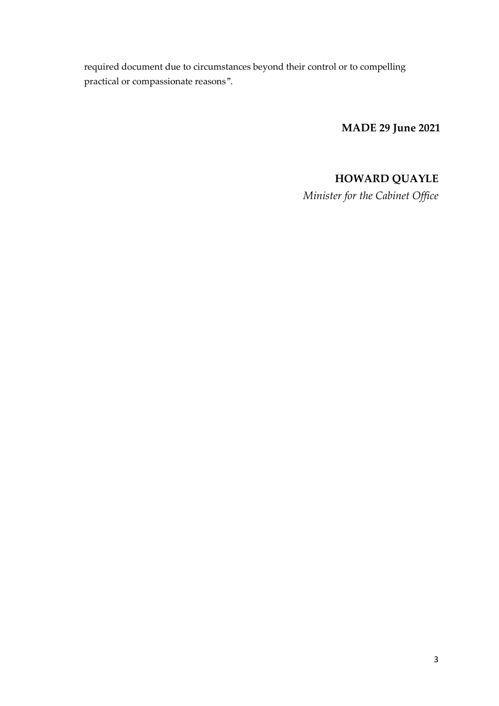required document due to circumstances beyond their control or to compelling practical or compassionate reasons".

**MADE 29 June 2021**

# **HOWARD QUAYLE**

*Minister for the Cabinet Office*